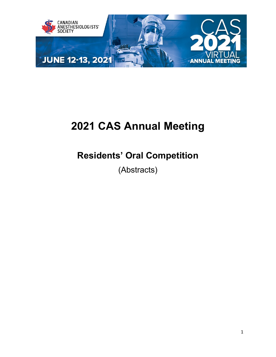

# **2021 CAS Annual Meeting**

## **Residents' Oral Competition**

(Abstracts)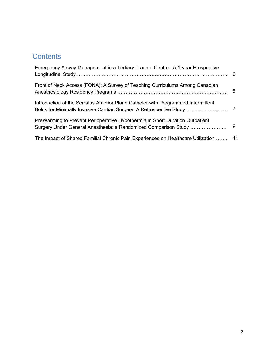### **Contents**

| Emergency Airway Management in a Tertiary Trauma Centre: A 1-year Prospective                                                                            |   |
|----------------------------------------------------------------------------------------------------------------------------------------------------------|---|
| Front of Neck Access (FONA): A Survey of Teaching Curriculums Among Canadian                                                                             | 5 |
| Introduction of the Serratus Anterior Plane Catheter with Programmed Intermittent<br>Bolus for Minimally Invasive Cardiac Surgery: A Retrospective Study |   |
| PreWarming to Prevent Perioperative Hypothermia in Short Duration Outpatient                                                                             |   |
| The Impact of Shared Familial Chronic Pain Experiences on Healthcare Utilization  11                                                                     |   |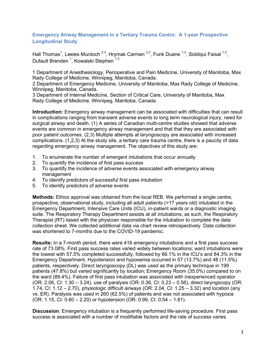#### <span id="page-2-0"></span>**Emergency Airway Management in a Tertiary Trauma Centre: A 1-year Prospective Longitudinal Study**

Hall Thomas<sup>1</sup>, Leeies Murdoch <sup>2,3</sup>, Hrymak Carmen <sup>2,3</sup>, Funk Duane <sup>1,3</sup>, Siddiqui Faisal <sup>1,3</sup>, Dufault Brenden <sup>1</sup>, Kowalski Stephen <sup>1,3</sup>

1 Department of Anesthesiology, Perioperative and Pain Medicine, University of Manitoba, Max Rady College of Medicine, Winnipeg, Manitoba, Canada.

2 Department of Emergency Medicine, University of Manitoba, Max Rady College of Medicine, Winnipeg, Manitoba, Canada.

3 Department of Internal Medicine, Section of Critical Care, University of Manitoba, Max Rady College of Medicine, Winnipeg, Manitoba, Canada.

**Introduction:** Emergency airway management can be associated with difficulties that can result in complications ranging from transient adverse events to long term neurological injury, need for surgical airway and death. (1) A series of Canadian multi-centre studies showed that adverse events are common in emergency airway management and that that they are associated with poor patient outcomes. (2,3) Multiple attempts at laryngoscopy are associated with increased complications. (1,2,3) At the study site, a tertiary care trauma centre, there is a paucity of data regarding emergency airway management. The objectives of this study are:

- 1. To enumerate the number of emergent intubations that occur annually
- 2. To quantify the incidence of first pass success
- 3. To quantify the incidence of adverse events associated with emergency airway management
- 4. To identify predictors of successful first pass intubation
- 5. To identify predictors of adverse events

**Methods:** Ethics approval was obtained from the local REB. We performed a single centre, prospective, observational study, including all adult patients (>17 years old) intubated in the Emergency Department, Intensive Care Units (ICU), in-patient wards or a diagnostic imaging suite. The Respiratory Therapy Department assists at all intubations, as such, the Respiratory Therapist (RT) liased with the physician responsible for the intubation to complete the data collection sheet. We collected additional data via chart review retrospectively. Data collection was shortened to 7-months due to the COVID-19 pandemic.

**Results:** In a 7-month period, there were 416 emergency intubations and a first pass success rate of 73.08%. First pass success rates varied widely between locations; ward intubations were the lowest with 57.5% completed successfully, followed by 66.1% in the ICU's and 84.3% in the Emergency Department. Hypotension and hypoxemia occurred in 57 (13.7%) and 48 (11.5%) patients, respectively. Direct laryngoscopy (DL) was used as the primary technique in 199 patients (47.8%) but varied significantly by location; Emergency Room (35.0%) compared to on the ward (89.4%). Failure of first pass intubation was associated with inexperienced operator (OR: 2.06, CI: 1.30 – 3.24), use of paralysis (OR: 0.36, CI: 0.23 – 0.56), direct laryngscopy (OR: 1.74, CI: 1.12 – 2.70), physiologic difficult airways (OR: 2.04, CI: 1.25 – 3.32) and location (any vs. ER). Paralysis was used in 260 (62.5%) of patients and was not associated with hypoxia (OR: 1.15, CI: 0.60 – 2.20) or hypotension (OR: 0.99, CI: 0.54 – 1.81).

**Discussion**: Emergency intubation is a frequently performed life-saving procedure. First pass success is associated with a number of modifiable factors and the rate of success varies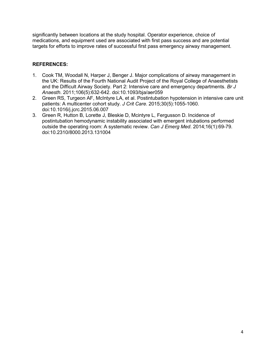significantly between locations at the study hospital. Operator experience, choice of medications, and equipment used are associated with first pass success and are potential targets for efforts to improve rates of successful first pass emergency airway management.

#### **REFERENCES:**

- 1. Cook TM, Woodall N, Harper J, Benger J. Major complications of airway management in the UK: Results of the Fourth National Audit Project of the Royal College of Anaesthetists and the Difficult Airway Society. Part 2: Intensive care and emergency departments. *Br J Anaesth*. 2011;106(5):632-642. doi:10.1093/bja/aer059
- 2. Green RS, Turgeon AF, McIntyre LA, et al. Postintubation hypotension in intensive care unit patients: A multicenter cohort study. *J Crit Care*. 2015;30(5):1055-1060. doi:10.1016/j.jcrc.2015.06.007
- 3. Green R, Hutton B, Lorette J, Bleskie D, Mcintyre L, Fergusson D. Incidence of postintubation hemodynamic instability associated with emergent intubations performed outside the operating room: A systematic review. *Can J Emerg Med*. 2014;16(1):69-79. doi:10.2310/8000.2013.131004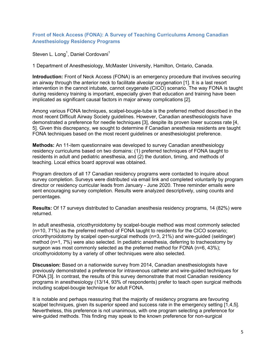#### <span id="page-4-0"></span>**Front of Neck Access (FONA): A Survey of Teaching Curriculums Among Canadian Anesthesiology Residency Programs**

Steven L. Long $^{\rm 1}$ , Daniel Cordovani $^{\rm 1}$ 

1 Department of Anesthesiology, McMaster University, Hamilton, Ontario, Canada.

**Introduction:** Front of Neck Access (FONA) is an emergency procedure that involves securing an airway through the anterior neck to facilitate alveolar oxygenation [1]. It is a last resort intervention in the cannot intubate, cannot oxygenate (CICO) scenario. The way FONA is taught during residency training is important, especially given that education and training have been implicated as significant causal factors in major airway complications [2].

Among various FONA techniques, scalpel-bougie-tube is the preferred method described in the most recent Difficult Airway Society guidelines. However, Canadian anesthesiologists have demonstrated a preference for needle techniques [3], despite its proven lower success rate [4, 5]. Given this discrepancy, we sought to determine if Canadian anesthesia residents are taught FONA techniques based on the most recent guidelines or anesthesiologist preference.

**Methods:** An 11-item questionnaire was developed to survey Canadian anesthesiology residency curriculums based on two domains: (1) preferred techniques of FONA taught to residents in adult and pediatric anesthesia, and (2) the duration, timing, and methods of teaching. Local ethics board approval was obtained.

Program directors of all 17 Canadian residency programs were contacted to inquire about survey completion. Surveys were distributed via email link and completed voluntarily by program director or residency curricular leads from January - June 2020. Three reminder emails were sent encouraging survey completion. Results were analyzed descriptively, using counts and percentages.

**Results:** Of 17 surveys distributed to Canadian anesthesia residency programs, 14 (82%) were returned.

In adult anesthesia, cricothyroidotomy by scalpel-bougie method was most commonly selected (n=10, 71%) as the preferred method of FONA taught to residents for the CICO scenario; cricorthyroidotomy by scalpel open-surgical methods (n=3, 21%) and wire-guided (seldinger) method (n=1, 7%) were also selected. In pediatric anesthesia, deferring to tracheostomy by surgeon was most commonly selected as the preferred method for FONA (n=6, 43%); cricothyroidotomy by a variety of other techniques were also selected.

**Discussion:** Based on a nationwide survey from 2014, Canadian anesthesiologists have previously demonstrated a preference for intravenous catheter and wire-guided techniques for FONA [3]. In contrast, the results of this survey demonstrate that most Canadian residency programs in anesthesiology (13/14, 93% of respondents) prefer to teach open surgical methods including scalpel-bougie technique for adult FONA.

It is notable and perhaps reassuring that the majority of residency programs are favouring scalpel techniques, given its superior speed and success rate in the emergency setting [1,4,5]. Nevertheless, this preference is not unanimous, with one program selecting a preference for wire-guided methods. This finding may speak to the known preference for non-surgical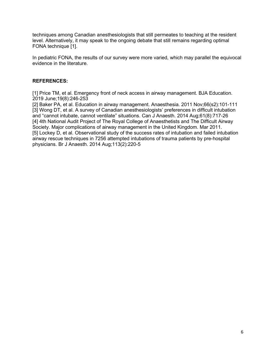techniques among Canadian anesthesiologists that still permeates to teaching at the resident level. Alternatively, it may speak to the ongoing debate that still remains regarding optimal FONA technique [1].

In pediatric FONA, the results of our survey were more varied, which may parallel the equivocal evidence in the literature.

#### **REFERENCES:**

[1] Price TM, et al. Emergency front of neck access in airway management. BJA Education. 2019 June;19(8):246-253

[2] Baker PA, et al. Education in airway management. Anaesthesia. 2011 Nov;66(s2):101-111 [3] Wong DT, et al. A survey of Canadian anesthesiologists' preferences in difficult intubation and "cannot intubate, cannot ventilate" situations. Can J Anaesth. 2014 Aug;61(8):717-26 [4] 4th National Audit Project of The Royal College of Anaesthetists and The Difficult Airway Society. Major complications of airway management in the United Kingdom. Mar 2011. [5] Lockey D, et al. Observational study of the success rates of intubation and failed intubation airway rescue techniques in 7256 attempted intubations of trauma patients by pre-hospital physicians. Br J Anaesth. 2014 Aug;113(2):220-5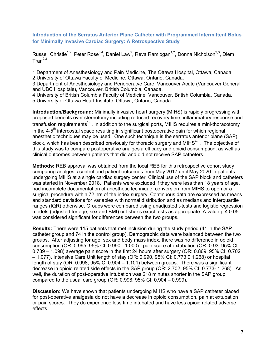<span id="page-6-0"></span>**Introduction of the Serratus Anterior Plane Catheter with Programmed Intermittent Bolus for Minimally Invasive Cardiac Surgery: A Retrospective Study**

Russell Christie $^{1,2}$ , Peter Rose $^{3,4}$ , Daniel Law $^2$ , Reva Ramlogan $^{1,2}$ , Donna Nicholson $^{2,3}$ , Diem  $Tran<sup>2,3</sup>$ 

1 Department of Anesthesiology and Pain Medicine, The Ottawa Hospital, Ottawa, Canada 2 University of Ottawa Faculty of Medicine, Ottawa, Ontario, Canada.

3 Department of Anesthesiology and Perioperatve Care, Vancouver Acute (Vancouver General and UBC Hospitals), Vancouver, British Columbia, Canada.

4 University of British Columbia Faculty of Medicine, Vancouver, British Columbia, Canada. 5 University of Ottawa Heart Institute, Ottawa, Ontario, Canada.

**Introduction/Background:** Minimally invasive heart surgery (MIHS) is rapidly progressing with proposed benefits over sternotomy including reduced recovery time, inflammatory response and transfusion requirements $^{\text{1-3}}$ . In addition to the surgical ports, MIHS requires a mini-thoracotomy in the  $4-5<sup>th</sup>$  intercostal space resulting in significant postoperative pain for which regional anesthetic techniques may be used. One such technique is the serratus anterior plane (SAP) block, which has been described previously for thoracic surgery and MIHS $^\mathrm{4\text{-}9}$ . The objective of this study was to compare postoperative analgesia efficacy and opioid consumption, as well as clinical outcomes between patients that did and did not receive SAP catheters.

**Methods:** REB approval was obtained from the local REB for this retrospective cohort study comparing analgesic control and patient outcomes from May 2017 until May 2020 in patients undergoing MIHS at a single cardiac surgery center. Clinical use of the SAP block and catheters was started in November 2018. Patients were excluded if they were less than 18 years of age, had incomplete documentation of anesthetic technique, conversion from MIHS to open or a surgical procedure within 72 hrs of the index surgery. Continuous data are expressed as means and standard deviations for variables with normal distribution and as medians and interquartile ranges (IQR) otherwise. Groups were compared using unadjusted t-tests and logistic regression models (adjusted for age, sex and BMI) or fisher's exact tests as appropriate. A value  $p \le 0.05$ was considered significant for differences between the two groups.

**Results:** There were 115 patients that met inclusion during the study period (41 in the SAP catheter group and 74 in the control group). Demographic data were balanced between the two groups. After adjusting for age, sex and body mass index, there was no difference in opioid consumption (OR: 0.995, 95% CI: 0.990 - 1.000) , pain score at extubation (OR: 0.93, 95% CI: 0.789 – 1.098) average pain score in the first 24 hours after surgery (OR: 0.869, 95% CI: 0.702 – 1.077), Intensive Care Unit length of stay (OR: 0.990, 95% CI: 0.773 0 1.268) or hospital length of stay (OR: 0.998, 95% CI 0.904 – 1.101) between groups. There was a significant decrease in opioid related side effects in the SAP group (OR: 2.702, 95% CI: 0.773- 1.268). As well, the duration of post-operative intubation was 218 minutes shorter in the SAP group compared to the usual care group (OR: 0.998, 95% CI: 0.904 – 0.999).

**Discussion:** We have shown that patients undergoing MIHS who have a SAP catheter placed for post-operative analgesia do not have a decrease in opioid consumption, pain at extubation or pain scores. They do experience less time intubated and have less opioid related adverse effects.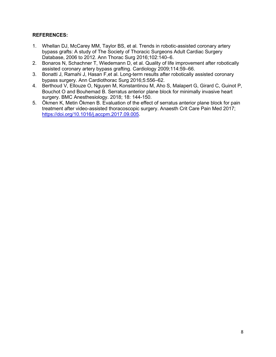#### **REFERENCES:**

- 1. Whellan DJ, McCarey MM, Taylor BS, et al. Trends in robotic-assisted coronary artery bypass grafts: A study of The Society of Thoracic Surgeons Adult Cardiac Surgery Database, 2006 to 2012. Ann Thorac Surg 2016;102:140–6.
- 2. Bonaros N, Schachner T, Wiedemann D, et al. Quality of life improvement after robotically assisted coronary artery bypass grafting. Cardiology 2009;114:59–66.
- 3. Bonatti J, Ramahi J, Hasan F,et al. Long-term results after robotically assisted coronary bypass surgery. Ann Cardiothorac Surg 2016;5:556–62.
- 4. Berthoud V, Ellouze O, Nguyen M, Konstantinou M, Aho S, Malapert G, Girard C, Guinot P, Bouchot O and Bouhemad B. Serratus anterior plane block for minimally invasive heart surgery. BMC Anesthesiology. 2018; 18: 144-150.
- 5. Ökmen K, Metin Ökmen B. Evaluation of the effect of serratus anterior plane block for pain treatment after video-assisted thoracoscopic surgery. Anaesth Crit Care Pain Med 2017; [https://doi.org/10.1016/j.accpm.2017.09.005.](https://doi.org/10.1016/j.accpm.2017.09.005)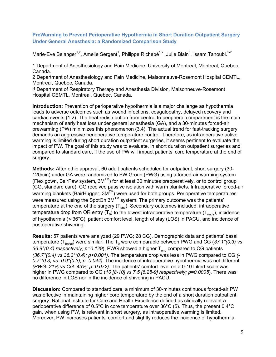#### <span id="page-8-0"></span>**PreWarming to Prevent Perioperative Hypothermia in Short Duration Outpatient Surgery Under General Anesthesia: a Randomized Comparison Study**

Marie-Eve Belanger $^{1,2}$ , Amelie Sergent $^1$ , Philippe Richebé $^{1,2}$ , Julie Blain $^3$ , Issam Tanoubi. $^{1\text{-}2}$ 

1 Department of Anesthesiology and Pain Medicine, University of Montreal, Montreal, Quebec, Canada.

2 Department of Anesthesiology and Pain Medicine, Maisonneuve-Rosemont Hospital CEMTL, Montreal, Quebec, Canada.

3 Department of Respiratory Therapy and Anesthesia Division, Maisonneuve-Rosemont Hospital CEMTL, Montreal, Quebec, Canada.

**Introduction:** Prevention of perioperative hypothermia is a major challenge as hypothermia leads to adverse outcomes such as wound infections, coagulopathy, delayed recovery and cardiac events (1,2). The heat redistribution from central to peripheral compartment is the main mechanism of early heat loss under general anesthesia (GA), and a 30-minutes forced-air prewarming (PW) minimizes this phenomenon (3,4). The actual trend for fast-tracking surgery demands an aggressive perioperative temperature control. Therefore, as intraoperative active warming is limited during short duration outpatient surgeries, it seems pertinent to evaluate the impact of PW. The goal of this study was to evaluate, in short duration outpatient surgeries and compared to standard care, if the use of PW will impact patients' core temperature at the end of surgery.

**Methods:** After ethic approval, 60 adult patients scheduled for outpatient, short surgery (30- 120min) under GA were randomized to PW Group (PWG) using a forced-air warming system (Flex gown, BairPaw system, 3MTM) for at least 30 minutes preoperatively, or to control group (CG, standard care). CG received passive isolation with warm blankets. Intraoperative forced-air warming blankets (BairHugger,  $3M^{TM}$ ) were used for both groups. Perioperative temperatures were measured using the SpotOn 3M<sup>™</sup> system. The primary outcome was the patients' temperature at the end of the surgery  $(T_{end})$ . Secondary outcomes included: intraoperative temperature drop from OR entry  $(T_0)$  to the lowest intraoperative temperature  $(T_{nadir})$ , incidence of hypothermia (˂ 36°C), patient comfort level, length of stay (LOS) in PACU, and incidence of postoperative shivering.

**Results:** 57 patients were analyzed (29 PWG; 28 CG). Demographic data and patients' basal temperature ( $T_{\text{basal}}$ ) were similar. The  $T_0$  were comparable between PWG and CG (37.1°(0.3) vs 36.9°(0.4) respectively; p=0.129). PWG showed a higher T<sub>end</sub> compared to CG patients *(36.7°(0.4) vs 36.3°(0.4); p˂0.001)*. The temperature drop was less in PWG compared to CG *(- 0.7°(0.3) vs -0.9°(0.3); p=0.044)*. The incidence of intraoperative hypothermia was not different *(PWG: 21% vs CG: 43%; p=0.072)*. The patients' comfort level on a 0-10 Likert scale was higher in PWG compared to CG (*10 [8-10] vs 7.5 [6.25-9] respectively; p=0.0005*). There was no difference in LOS nor in the incidence of shivering in PACU.

**Discussion:** Compared to standard care, a minimum of 30-minutes continuous forced-air PW was effective in maintaining higher core temperature by the end of a short duration outpatient surgery. National Institute for Care and Health Excellence defined as clinically relevant a perioperative difference of 0.5°C in core temperature over 36°C (5). Thus, the present 0.4°C gain, when using PW, is relevant in short surgery, as intraoperative warming is limited. Moreover, PW increases patients' comfort and slightly reduces the incidence of hypothermia.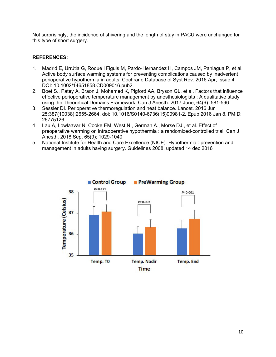Not surprisingly, the incidence of shivering and the length of stay in PACU were unchanged for this type of short surgery.

#### **REFERENCES:**

- 1. Madrid E, Urrútia G, Roqué i Figuls M, Pardo-Hernandez H, Campos JM, Paniagua P, et al. Active body surface warming systems for preventing complications caused by inadvertent perioperative hypothermia in adults. Cochrane Database of Syst Rev. 2016 Apr, Issue 4. DOI: 10.1002/14651858.CD009016.pub2.
- 2. Boet S., Patey A, Braon J, Mohamed K, Pigford AA, Bryson GL, et al. Factors that influence effective perioperative temperature management by anesthesiologists : A qualitative study using the Theoretical Domains Framework. Can J Anesth. 2017 June; 64(6) :581-596
- 3. Sessler DI. Perioperative thermoregulation and heat balance. Lancet. 2016 Jun 25;387(10038):2655-2664. doi: 10.1016/S0140-6736(15)00981-2. Epub 2016 Jan 8. PMID: 26775126.
- 4. Lau A, Lowlaavar N, Cooke EM, West N., German A., Morse DJ., et al. Effect of preoperative warming on intraoperative hypothermia : a randomized-controlled trial. Can J Anesth. 2018 Sep, 65(9); 1029-1040
- 5. National Institute for Health and Care Excellence (NICE). Hypothermia : prevention and management in adults having surgery. Guidelines 2008, updated 14 dec 2016

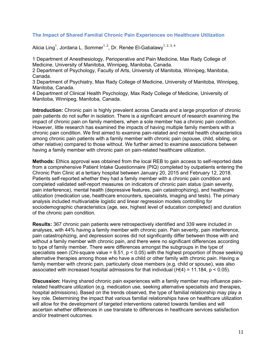#### <span id="page-10-0"></span>**The Impact of Shared Familial Chronic Pain Experiences on Healthcare Utilization**

Alicia Ling<sup>1</sup>, Jordana L. Sommer<sup>1, 2</sup>, Dr. Renée El-Gabalawy<sup>1, 2, 3, 4</sup>

1 Department of Anesthesiology, Perioperative and Pain Medicine, Max Rady College of Medicine, University of Manitoba, Winnipeg, Manitoba, Canada.

2 Department of Psychology, Faculty of Arts, University of Manitoba, Winnipeg, Manitoba, Canada.

3 Department of Psychiatry, Max Rady College of Medicine, University of Manitoba, Winnipeg, Manitoba, Canada.

4 Department of Clinical Health Psychology, Max Rady College of Medicine, University of Manitoba, Winnipeg, Manitoba, Canada.

**Introduction:** Chronic pain is highly prevalent across Canada and a large proportion of chronic pain patients do not suffer in isolation. There is a significant amount of research examining the impact of chronic pain on family members, when a sole member has a chronic pain condition. However, little research has examined the impacts of having multiple family members with a chronic pain condition. We first aimed to examine pain-related and mental health characteristics among chronic pain patients with a family member with chronic pain (spouse, child, sibling, or other relative) compared to those without. We further aimed to examine associations between having a family member with chronic pain on pain-related healthcare utilization.

**Methods:** Ethics approval was obtained from the local REB to gain access to self-reported data from a comprehensive Patient Intake Questionnaire (PIQ) completed by outpatients entering the Chronic Pain Clinic at a tertiary hospital between January 20, 2015 and February 12, 2018. Patients self-reported whether they had a family member with a chronic pain condition and completed validated self-report measures on indicators of chronic pain status (pain severity, pain interference), mental health (depressive features, pain catastrophizing), and healthcare utilization (medication use, healthcare encounters, specialists, imaging and tests). The primary analysis included multivariable logistic and linear regression models controlling for sociodemographic characteristics (age, sex, highest level of education completed) and duration of the chronic pain condition.

**Results:** 367 chronic pain patients were retrospectively identified and 339 were included in analyses, with 44% having a family member with chronic pain. Pain severity, pain interference, pain catastrophizing, and depression scores did not significantly differ between those with and without a family member with chronic pain, and there were no significant differences according to type of family member. There were differences amongst the subgroups in the type of specialists seen (Chi-square value =  $9.51$ ,  $p < 0.05$ ) with the highest proportion of those seeking alternative therapies among those who have a child or other family with chronic pain. Having a family member with chronic pain, particularly close members (e.g. child or spouse), was also associated with increased hospital admissions for that individual (*H*(4) = 11.184, p < 0.05).

**Discussion:** Having shared chronic pain experiences with a family member may influence painrelated healthcare utilization (e.g. medication use, seeking alternative specialists and therapies, hospital admissions). Based on the trends observed, the type of familial relationship may play a key role. Determining the impact that various familial relationships have on healthcare utilization will allow for the development of targeted interventions catered towards families and will ascertain whether differences in use translate to differences in healthcare services satisfaction and/or treatment outcomes.